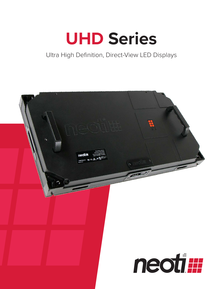## **UHD Series**

#### Ultra High Definition, Direct-View LED Displays

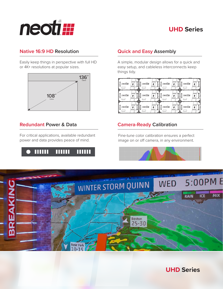

#### **UHD Series**

#### **Native 16:9 HD Resolution <b>CEA Quick and Easy Assembly**

Easily keep things in perspective with full HD or 4K+ resolutions at popular sizes.



#### **Redundant Power & Data**

For critical applications, available redundant power and data provides peace of mind.



A simple, modular design allows for a quick and easy setup, and cableless interconnects keep things tidy.



#### **Camera-Ready Calibration**

Fine-tune color calibration ensures a perfect image on or off camera, in any environment.





**UHD Series**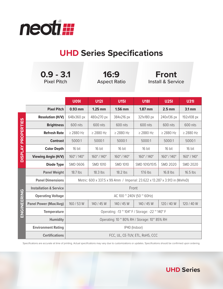

### **UHD Series Specifications**

|                           | $0.9 - 3.1$<br><b>Pixel Pitch</b> |                                                                             | 16:9<br><b>Aspect Ratio</b> |                 | Front<br><b>Install &amp; Service</b> |                 |                 |
|---------------------------|-----------------------------------|-----------------------------------------------------------------------------|-----------------------------|-----------------|---------------------------------------|-----------------|-----------------|
|                           |                                   | <b>U091</b>                                                                 | <b>U121</b>                 | <b>U151</b>     | <b>U181</b>                           | <b>U251</b>     | <b>U31I</b>     |
|                           | <b>Pixel Pitch</b>                | 0.93 mm                                                                     | $1.25$ mm                   | 1.56 mm         | 1.87 mm                               | $2.5$ mm        | 3.1 mm          |
| <b>DISPLAY PROPERTIES</b> | <b>Resolution (H/V)</b>           | 648x360 px                                                                  | 480x270 px                  | 384x216 px      | 321x180 px                            | 240x136 px      | 192x108 px      |
|                           | <b>Brightness</b>                 | 600 nits                                                                    | 600 nits                    | 600 nits        | 600 nits                              | 600 nits        | 600 nits        |
|                           | <b>Refresh Rate</b>               | $\geq$ 2880 Hz                                                              | $\geq$ 2880 Hz              | $\geq$ 2880 Hz  | $\geq$ 2880 Hz                        | $\geq$ 2880 Hz  | $\geq$ 2880 Hz  |
|                           | <b>Contrast</b>                   | 5000:1                                                                      | 5000:1                      | 5000:1          | 5000:1                                | 5000:1          | 5000:1          |
|                           | <b>Color Depth</b>                | 16 bit                                                                      | 16 bit                      | 16 bit          | 16 bit                                | 16 bit          | 16 bit          |
|                           | <b>Viewing Angle (H/V)</b>        | 160°/140°                                                                   | 160°/140°                   | 160°/140°       | 160°/140°                             | 160°/140°       | 160°/140°       |
|                           | <b>Diode Type</b>                 | <b>SMD 0606</b>                                                             | <b>SMD 1010</b>             | <b>SMD 1010</b> | SMD 1010/1515                         | <b>SMD 2020</b> | <b>SMD 2020</b> |
| ENGINEERING               | <b>Panel Weight</b>               | 18.7 lbs                                                                    | 18.3 lbs                    | 18.2 lbs        | 17.6 lbs                              | 16.8 lbs        | 16.5 lbs        |
|                           | <b>Panel Dimensions</b>           | Metric: 600 x 337.5 x 99.4mm / Imperial: 23.622 x 13.287 x 3.913 in (WxHxD) |                             |                 |                                       |                 |                 |
|                           | <b>Installation &amp; Service</b> | Front                                                                       |                             |                 |                                       |                 |                 |
|                           | <b>Operating Voltage</b>          | AC 100 $^{\circ}$ 240V (50 $^{\circ}$ 60Hz)                                 |                             |                 |                                       |                 |                 |
|                           | <b>Panel Power (Max/Avg)</b>      | 160 / 53 W                                                                  | 140 / 45 W                  | 140 / 45 W      | 140 / 45 W                            | 120/40W         | 120 / 40 W      |
|                           | <b>Temperature</b>                | Operating: -13 $\degree$ 104° F / Storage: -22 $\degree$ 140° F             |                             |                 |                                       |                 |                 |
|                           | <b>Humidity</b>                   | Operating: 10 $^{\circ}$ 80% RH / Storage: 10 $^{\circ}$ 85% RH             |                             |                 |                                       |                 |                 |
|                           | <b>Environment Rating</b>         | IP40 (Indoor)                                                               |                             |                 |                                       |                 |                 |
|                           | <b>Certifications</b>             | FCC, UL, CE-TUV, ETL, RoHS, CCC                                             |                             |                 |                                       |                 |                 |

Specifications are accurate at time of printing. Actual specifications may vary due to customizations or updates. Specifications should be confirmed upon ordering.